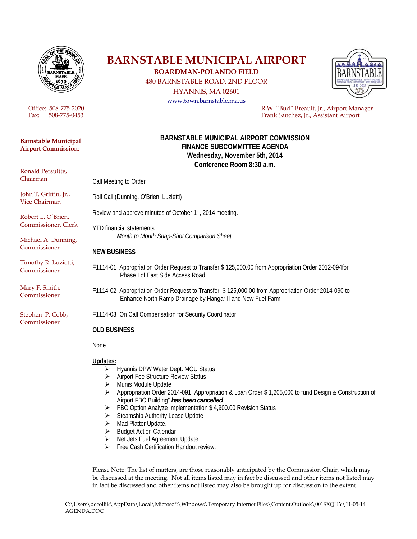

#### **Barnstable Municipal Airport Commission**:

Ronald Persuitte, Chairman

John T. Griffin, Jr., Vice Chairman

Robert L. O'Brien, Commissioner, Clerk

Michael A. Dunning, Commissioner

Timothy R. Luzietti, Commissioner

Mary F. Smith, Commissioner

Stephen P. Cobb, Commissioner

# **BARNSTABLE MUNICIPAL AIRPORT BOARDMAN-POLANDO FIELD**

480 BARNSTABLE ROAD, 2ND FLOOR

HYANNIS, MA 02601

www.town.barnstable.ma.us



Office: 508-775-2020<br>
Frank Sanchez, Ir., Airport Manager<br>
Frank Sanchez, Ir., Assistant Airport Frank Sanchez, Ir., Assistant Airport

#### **BARNSTABLE MUNICIPAL AIRPORT COMMISSION FINANCE SUBCOMMITTEE AGENDA Wednesday, November 5th, 2014 Conference Room 8:30 a.m.**

Call Meeting to Order

Roll Call (Dunning, O'Brien, Luzietti)

Review and approve minutes of October 1st, 2014 meeting.

YTD financial statements:  *Month to Month Snap-Shot Comparison Sheet* 

### **NEW BUSINESS**

- F1114-01 Appropriation Order Request to Transfer \$ 125,000.00 from Appropriation Order 2012-094for Phase I of East Side Access Road
- F1114-02 Appropriation Order Request to Transfer \$ 125,000.00 from Appropriation Order 2014-090 to Enhance North Ramp Drainage by Hangar II and New Fuel Farm

F1114-03 On Call Compensation for Security Coordinator

## **OLD BUSINESS**

None

**Updates:**

- ▶ Hyannis DPW Water Dept. MOU Status
- Airport Fee Structure Review Status
- > Munis Module Update
- Appropriation Order 2014-091, Appropriation & Loan Order \$ 1,205,000 to fund Design & Construction of Airport FBO Building" *has been cancelled.*
- FBO Option Analyze Implementation \$ 4,900.00 Revision Status
- $\triangleright$  Steamship Authority Lease Update
- > Mad Platter Update.
- Budget Action Calendar
- ▶ Net Jets Fuel Agreement Update
- $\triangleright$  Free Cash Certification Handout review.

Please Note: The list of matters, are those reasonably anticipated by the Commission Chair, which may be discussed at the meeting. Not all items listed may in fact be discussed and other items not listed may in fact be discussed and other items not listed may also be brought up for discussion to the extent